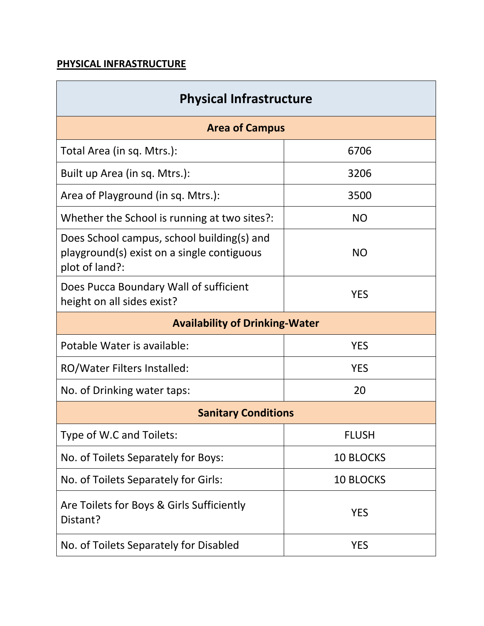### **PHYSICAL INFRASTRUCTURE**

| <b>Physical Infrastructure</b>                                                                             |                  |  |  |  |  |
|------------------------------------------------------------------------------------------------------------|------------------|--|--|--|--|
| <b>Area of Campus</b>                                                                                      |                  |  |  |  |  |
| Total Area (in sq. Mtrs.):                                                                                 | 6706             |  |  |  |  |
| Built up Area (in sq. Mtrs.):                                                                              | 3206             |  |  |  |  |
| Area of Playground (in sq. Mtrs.):                                                                         | 3500             |  |  |  |  |
| Whether the School is running at two sites?:                                                               | <b>NO</b>        |  |  |  |  |
| Does School campus, school building(s) and<br>playground(s) exist on a single contiguous<br>plot of land?: | <b>NO</b>        |  |  |  |  |
| Does Pucca Boundary Wall of sufficient<br>height on all sides exist?                                       | <b>YES</b>       |  |  |  |  |
| <b>Availability of Drinking-Water</b>                                                                      |                  |  |  |  |  |
| Potable Water is available:                                                                                | <b>YES</b>       |  |  |  |  |
| RO/Water Filters Installed:                                                                                | <b>YES</b>       |  |  |  |  |
| No. of Drinking water taps:                                                                                | 20               |  |  |  |  |
| <b>Sanitary Conditions</b>                                                                                 |                  |  |  |  |  |
| Type of W.C and Toilets:                                                                                   | <b>FLUSH</b>     |  |  |  |  |
| No. of Toilets Separately for Boys:                                                                        | <b>10 BLOCKS</b> |  |  |  |  |
| No. of Toilets Separately for Girls:                                                                       | <b>10 BLOCKS</b> |  |  |  |  |
| Are Toilets for Boys & Girls Sufficiently<br>Distant?                                                      | <b>YES</b>       |  |  |  |  |
| No. of Toilets Separately for Disabled                                                                     | <b>YES</b>       |  |  |  |  |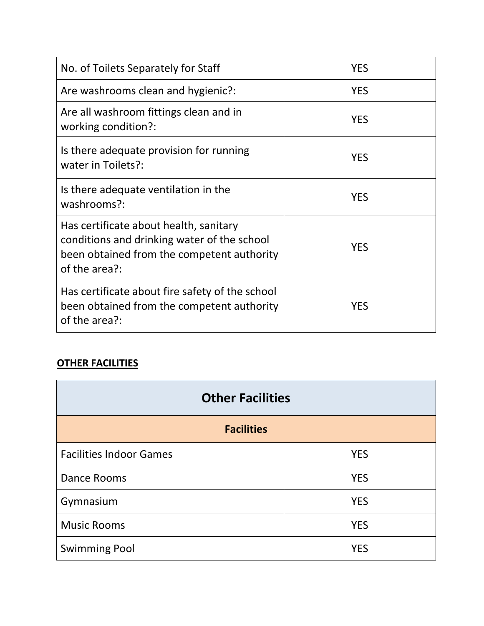| No. of Toilets Separately for Staff                                                                                                                  | <b>YES</b> |
|------------------------------------------------------------------------------------------------------------------------------------------------------|------------|
| Are washrooms clean and hygienic?:                                                                                                                   | <b>YES</b> |
| Are all washroom fittings clean and in<br>working condition?:                                                                                        | <b>YES</b> |
| Is there adequate provision for running<br>water in Toilets?:                                                                                        | <b>YES</b> |
| Is there adequate ventilation in the<br>washrooms?:                                                                                                  | <b>YES</b> |
| Has certificate about health, sanitary<br>conditions and drinking water of the school<br>been obtained from the competent authority<br>of the area?: | <b>YES</b> |
| Has certificate about fire safety of the school<br>been obtained from the competent authority<br>of the area?:                                       | <b>YES</b> |

# **OTHER FACILITIES**

| <b>Other Facilities</b>        |            |  |  |  |  |
|--------------------------------|------------|--|--|--|--|
| <b>Facilities</b>              |            |  |  |  |  |
| <b>Facilities Indoor Games</b> | <b>YES</b> |  |  |  |  |
| Dance Rooms                    | <b>YES</b> |  |  |  |  |
| Gymnasium                      | <b>YES</b> |  |  |  |  |
| <b>Music Rooms</b>             | <b>YES</b> |  |  |  |  |
| <b>Swimming Pool</b>           | <b>YFS</b> |  |  |  |  |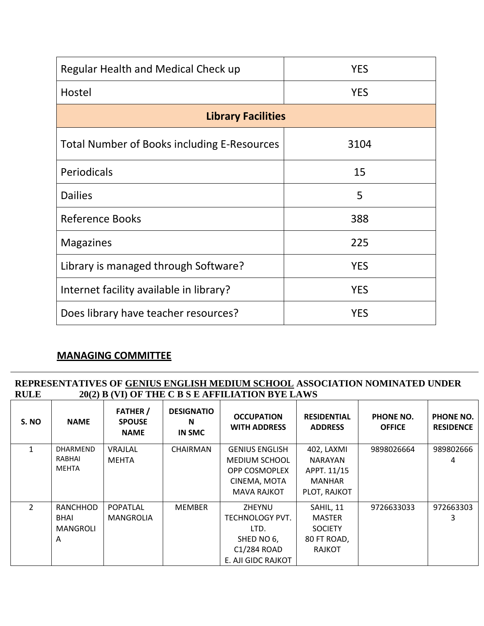| Regular Health and Medical Check up         | <b>YES</b> |
|---------------------------------------------|------------|
| Hostel                                      | <b>YES</b> |
| <b>Library Facilities</b>                   |            |
| Total Number of Books including E-Resources | 3104       |
| Periodicals                                 | 15         |
| <b>Dailies</b>                              | 5          |
| <b>Reference Books</b>                      | 388        |
| <b>Magazines</b>                            | 225        |
| Library is managed through Software?        | <b>YES</b> |
| Internet facility available in library?     | <b>YES</b> |
| Does library have teacher resources?        | <b>YES</b> |

### **MANAGING COMMITTEE**

#### **REPRESENTATIVES OF GENIUS ENGLISH MEDIUM SCHOOL ASSOCIATION NOMINATED UNDER**  20(2) B (VI) OF THE C B S E AFFILIATION BYE LAWS

| S. NO          | <b>NAME</b>  | <b>FATHER</b> /<br><b>SPOUSE</b><br><b>NAME</b> | <b>DESIGNATIO</b><br>N<br>IN SMC | <b>OCCUPATION</b><br><b>WITH ADDRESS</b> | <b>RESIDENTIAL</b><br><b>ADDRESS</b> | PHONE NO.<br><b>OFFICE</b> | PHONE NO.<br><b>RESIDENCE</b> |
|----------------|--------------|-------------------------------------------------|----------------------------------|------------------------------------------|--------------------------------------|----------------------------|-------------------------------|
|                | DHARMEND     | VRAJLAL                                         | CHAIRMAN                         | <b>GENIUS ENGLISH</b>                    | 402, LAXMI                           | 9898026664                 | 989802666                     |
|                | RABHAI       | <b>MEHTA</b>                                    |                                  | <b>MEDIUM SCHOOL</b>                     | <b>NARAYAN</b>                       |                            | 4                             |
|                | <b>MEHTA</b> |                                                 |                                  | <b>OPP COSMOPLEX</b>                     | APPT. 11/15                          |                            |                               |
|                |              |                                                 |                                  | CINEMA, MOTA                             | <b>MANHAR</b>                        |                            |                               |
|                |              |                                                 |                                  | <b>MAVA RAJKOT</b>                       | PLOT, RAJKOT                         |                            |                               |
| $\overline{2}$ | RANCHHOD     | <b>POPATLAL</b>                                 | <b>MEMBER</b>                    | ZHEYNU                                   | SAHIL, 11                            | 9726633033                 | 972663303                     |
|                | <b>BHAI</b>  | MANGROLIA                                       |                                  | <b>TECHNOLOGY PVT.</b>                   | <b>MASTER</b>                        |                            | 3                             |
|                | MANGROLI     |                                                 |                                  | LTD.                                     | <b>SOCIETY</b>                       |                            |                               |
|                | A            |                                                 |                                  | SHED NO 6,                               | 80 FT ROAD,                          |                            |                               |
|                |              |                                                 |                                  | C1/284 ROAD                              | <b>RAJKOT</b>                        |                            |                               |
|                |              |                                                 |                                  | E. AJI GIDC RAJKOT                       |                                      |                            |                               |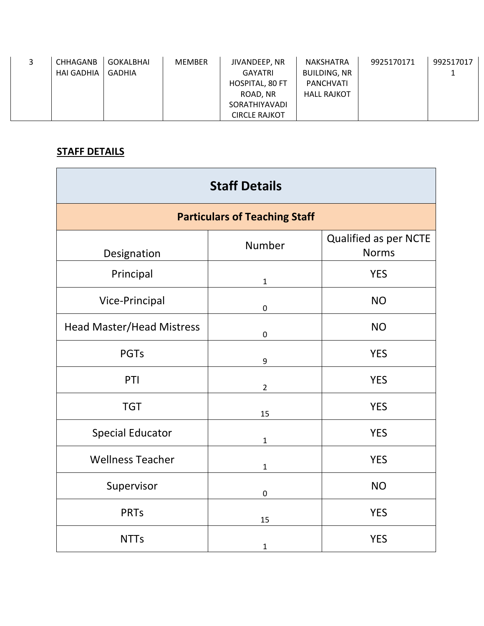| CHHAGANB          | GOKALBHAI     | <b>MEMBER</b> | JIVANDEEP, NR          | <b>NAKSHATRA</b>    | 9925170171 | 992517017 |
|-------------------|---------------|---------------|------------------------|---------------------|------------|-----------|
| <b>HAI GADHIA</b> | <b>GADHIA</b> |               | GAYATRI                | <b>BUILDING, NR</b> |            |           |
|                   |               |               | <b>HOSPITAL, 80 FT</b> | PANCHVATI           |            |           |
|                   |               |               | ROAD, NR               | <b>HALL RAJKOT</b>  |            |           |
|                   |               |               | <b>SORATHIYAVADI</b>   |                     |            |           |
|                   |               |               | <b>CIRCLE RAJKOT</b>   |                     |            |           |

## **STAFF DETAILS**

| <b>Staff Details</b>             |                                      |                                       |  |  |  |  |
|----------------------------------|--------------------------------------|---------------------------------------|--|--|--|--|
|                                  | <b>Particulars of Teaching Staff</b> |                                       |  |  |  |  |
| Designation                      | Number                               | Qualified as per NCTE<br><b>Norms</b> |  |  |  |  |
| Principal                        | $\mathbf{1}$                         | <b>YES</b>                            |  |  |  |  |
| Vice-Principal                   | $\boldsymbol{0}$                     | <b>NO</b>                             |  |  |  |  |
| <b>Head Master/Head Mistress</b> | $\boldsymbol{0}$                     | <b>NO</b>                             |  |  |  |  |
| <b>PGTs</b>                      | 9                                    | <b>YES</b>                            |  |  |  |  |
| PTI                              | $\overline{2}$                       | <b>YES</b>                            |  |  |  |  |
| <b>TGT</b>                       | 15                                   | <b>YES</b>                            |  |  |  |  |
| <b>Special Educator</b>          | $\mathbf{1}$                         | <b>YES</b>                            |  |  |  |  |
| <b>Wellness Teacher</b>          | $\mathbf{1}$                         | <b>YES</b>                            |  |  |  |  |
| Supervisor                       | $\boldsymbol{0}$                     | <b>NO</b>                             |  |  |  |  |
| <b>PRTs</b>                      | 15                                   | <b>YES</b>                            |  |  |  |  |
| <b>NTTs</b>                      | $\mathbf 1$                          | <b>YES</b>                            |  |  |  |  |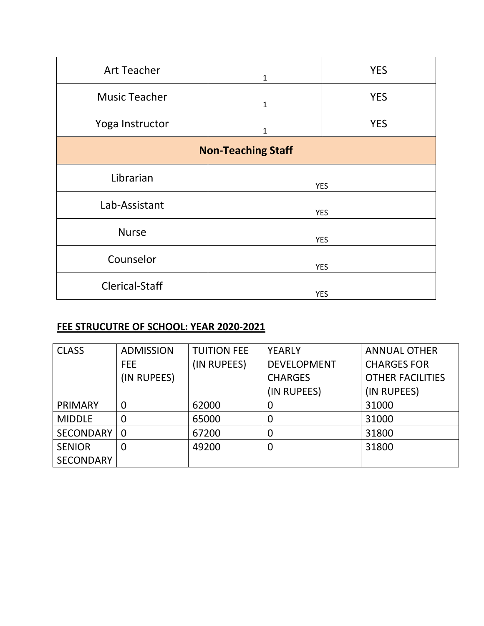| <b>Art Teacher</b>                                                               | $\mathbf{1}$              | <b>YES</b> |  |
|----------------------------------------------------------------------------------|---------------------------|------------|--|
| <b>Music Teacher</b>                                                             |                           | <b>YES</b> |  |
|                                                                                  | $\mathbf 1$               |            |  |
| Yoga Instructor                                                                  |                           | <b>YES</b> |  |
|                                                                                  | $\mathbf{1}$              |            |  |
|                                                                                  |                           |            |  |
|                                                                                  |                           |            |  |
|                                                                                  |                           |            |  |
|                                                                                  | <b>YES</b>                |            |  |
|                                                                                  |                           |            |  |
|                                                                                  | <b>YES</b>                |            |  |
|                                                                                  |                           |            |  |
|                                                                                  | <b>YES</b>                |            |  |
|                                                                                  |                           |            |  |
|                                                                                  | <b>YES</b>                |            |  |
|                                                                                  |                           |            |  |
|                                                                                  | <b>YES</b>                |            |  |
| Librarian<br>Lab-Assistant<br><b>Nurse</b><br>Counselor<br><b>Clerical-Staff</b> | <b>Non-Teaching Staff</b> |            |  |

### **FEE STRUCUTRE OF SCHOOL: YEAR 2020-2021**

| <b>CLASS</b>     | <b>ADMISSION</b> | <b>TUITION FEE</b> | <b>YEARLY</b>      | <b>ANNUAL OTHER</b>     |
|------------------|------------------|--------------------|--------------------|-------------------------|
|                  | FEE.             | (IN RUPEES)        | <b>DEVELOPMENT</b> | <b>CHARGES FOR</b>      |
|                  | (IN RUPEES)      |                    | <b>CHARGES</b>     | <b>OTHER FACILITIES</b> |
|                  |                  |                    | (IN RUPEES)        | (IN RUPEES)             |
| PRIMARY          | 0                | 62000              | O                  | 31000                   |
| <b>MIDDLE</b>    | 0                | 65000              | 0                  | 31000                   |
| <b>SECONDARY</b> | $\overline{0}$   | 67200              | 0                  | 31800                   |
| <b>SENIOR</b>    | 0                | 49200              | 0                  | 31800                   |
| <b>SECONDARY</b> |                  |                    |                    |                         |